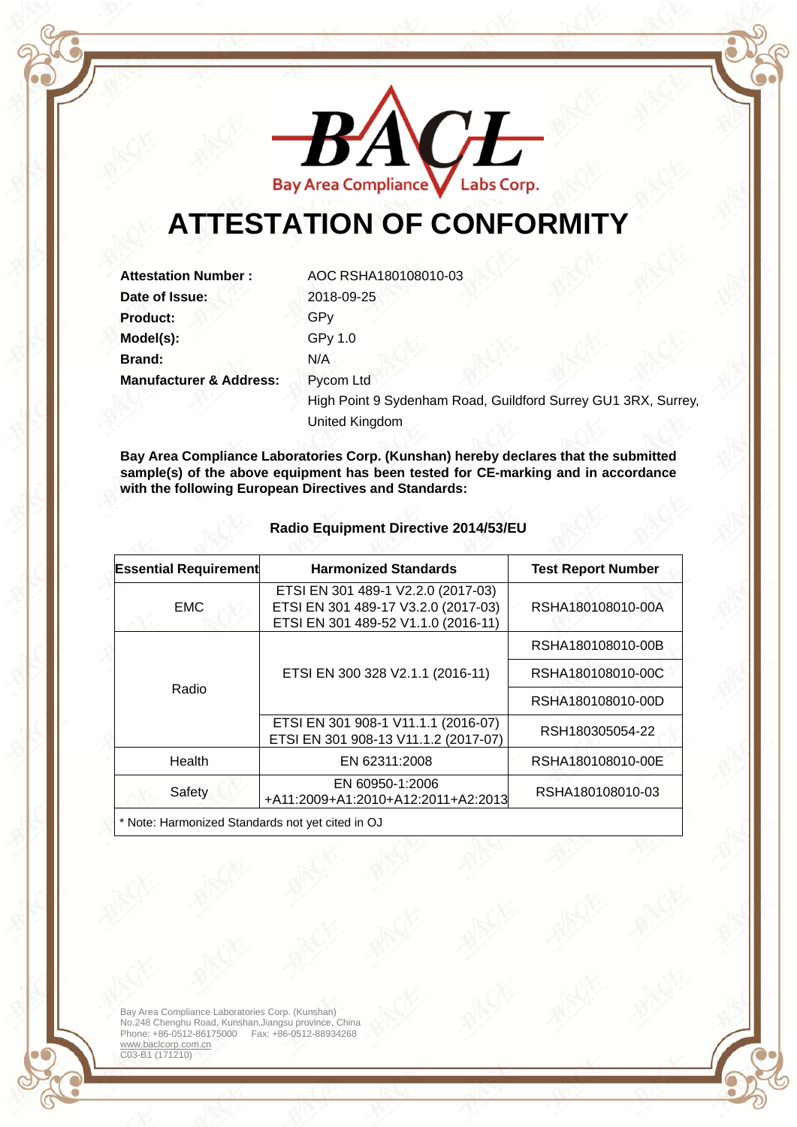

## **ATTESTATION OF CONFORMITY**

**Date of Issue:** 2018-09-25 Product: **CPV Model(s):** GPy 1.0 **Brand:** N/A **Manufacturer & Address:** Pycom Ltd

**Attestation Number :** AOC RSHA180108010-03 High Point 9 Sydenham Road, Guildford Surrey GU1 3RX, Surrey, United Kingdom

**Bay Area Compliance Laboratories Corp. (Kunshan) hereby declares that the submitted sample(s) of the above equipment has been tested for CE-marking and in accordance with the following European Directives and Standards:** 

| <b>Essential Requirement</b> | <b>Harmonized Standards</b>                                                                                      | <b>Test Report Number</b> |
|------------------------------|------------------------------------------------------------------------------------------------------------------|---------------------------|
| <b>EMC</b>                   | ETSI EN 301 489-1 V2.2.0 (2017-03)<br>ETSI EN 301 489-17 V3.2.0 (2017-03)<br>ETSI EN 301 489-52 V1.1.0 (2016-11) | RSHA180108010-00A         |
| Radio                        | ETSI EN 300 328 V2.1.1 (2016-11)                                                                                 | RSHA180108010-00B         |
|                              |                                                                                                                  | RSHA180108010-00C         |
|                              |                                                                                                                  | RSHA180108010-00D         |
|                              | ETSI EN 301 908-1 V11.1.1 (2016-07)<br>ETSI EN 301 908-13 V11.1.2 (2017-07)                                      | RSH180305054-22           |
| Health                       | EN 62311:2008                                                                                                    | RSHA180108010-00E         |
| Safety                       | EN 60950-1:2006<br>+A11:2009+A1:2010+A12:2011+A2:2013                                                            | RSHA180108010-03          |

## **Radio Equipment Directive 2014/53/EU**

Bay Area Compliance Laboratories Corp. (Kunshan) No.248 Chenghu Road, Kunshan,Jiangsu province, China Phone: +86-0512-86175000 Fax: +86-0512-88934268 www.baclcorp.com.cn C03-B1 (171210)